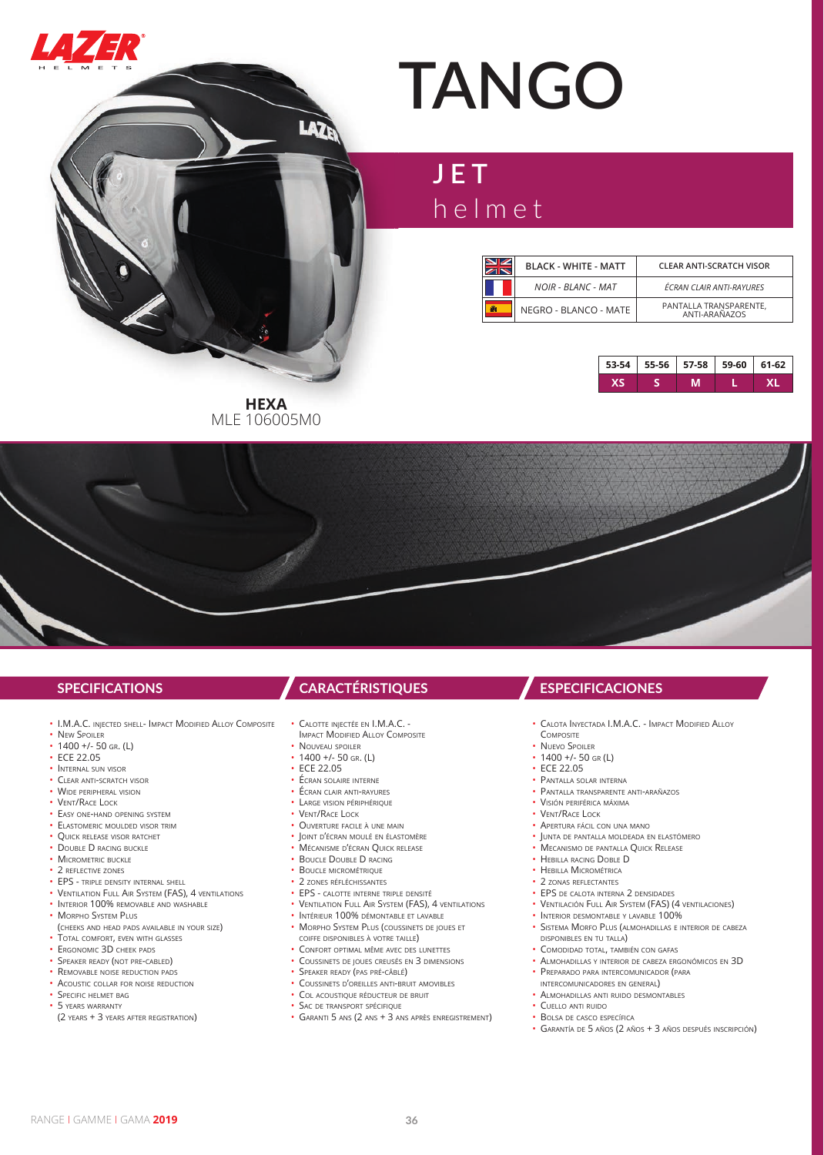

# **TANGO**

## **JET** helmet

|    | <b>BLACK - WHITE - MATT</b> | <b>CLEAR ANTI-SCRATCH VISOR</b>         |
|----|-----------------------------|-----------------------------------------|
|    | <b>NOIR - BLANC - MAT</b>   | ÉCRAN CLAIR ANTI-RAYURES                |
| F. | NEGRO - BLANCO - MATE       | PANTALLA TRANSPARENTE,<br>ANTI-ARAÑAZOS |



**HEXA** MLE 106005M0

LAZE

- I.M.A.C. INJECTED SHELL- IMPACT MODIFIED ALLOY COMPOSITE
- NEW SPOILER
- $\cdot$  1400 +/- 50 GR. (L)
- ECE 22.05
- INTERNAL SUN VISOR
- CLEAR ANTI-SCRATCH VISOR • WIDE PERIPHERAL VISION
- VENT/RACE LOCK
- EASY ONE-HAND OPENING SYSTEM
- ELASTOMERIC MOULDED VISOR TRIM
- QUICK RELEASE VISOR RATCHET
- DOUBLE D RACING BUCKLE
- MICROMETRIC BUCKLE
- 2 REFLECTIVE ZONES
- EPS TRIPLE DENSITY INTERNAL SHELL
- VENTILATION FULL AIR SYSTEM (FAS), 4 VENTILATIONS
- INTERIOR 100% REMOVABLE AND WASHABLE
- MORPHO SYSTEM PLUS
- (CHEEKS AND HEAD PADS AVAILABLE IN YOUR SIZE)
- TOTAL COMFORT, EVEN WITH GLASSES
- ERGONOMIC 3D CHEEK PADS
- SPEAKER READY (NOT PRE-CABLED)
- REMOVABLE NOISE REDUCTION PADS
- ACOUSTIC COLLAR FOR NOISE REDUCTION
- SPECIFIC HELMET BAG
- 5 YFARS WARRANTY
- (2 YEARS + 3 YEARS AFTER REGISTRATION)

### **SPECIFICATIONS CARACTÉRISTIQUES ESPECIFICACIONES**

- CALOTTE INJECTÉE EN I.M.A.C. -
- IMPACT MODIFIED ALLOY COMPOSITE
- NOUVEAU SPOILER  $\cdot$  1400 +/- 50 GR. (1)
- ECE 22.05
- ÉCRAN SOLAIRE INTERNE
- ÉCRAN CLAIR ANTI-RAYURES
- LARGE VISION PÉRIPHÉRIQUE
- VENT/RACE LOCK
- OUVERTURE FACILE <sup>À</sup> UNE MAIN
- JOINT D'ÉCRAN MOULÉ EN ÉLASTOMÈRE
- MÉCANISME D'ÉCRAN QUICK RELEASE
- **BOUCLE DOUBLE D RACING**
- BOUCLE MICROMÉTRIQUE
- 2 ZONES RÉFLÉCHISSANTES
- EPS CALOTTE INTERNE TRIPLE DENSITÉ
- VENTILATION FULL AIR SYSTEM (FAS), 4 VENTILATIONS
- INTÉRIEUR 100% DÉMONTABLE ET LAVABLE
- MORPHO SYSTEM PLUS (COUSSINETS DE JOUES ET
- COIFFE DISPONIBLES <sup>À</sup> VOTRE TAILLE)
- CONFORT OPTIMAL MÊME AVEC DES LUNETTES • COUSSINETS DE JOUES CREUSÉS EN 3 DIMENSIONS
- SPEAKER READY (PAS PRÉ-CÂBLÉ)
- COUSSINETS D'OREILLES ANTI-BRUIT AMOVIBLES
- COL ACOUSTIQUE RÉDUCTEUR DE BRUIT
- SAC DE TRANSPORT SPÉCIFIQUE
- GARANTI 5 ANS (2 ANS + 3 ANS APRÈS ENREGISTREMENT)

- CALOTA INYECTADA I.M.A.C. IMPACT MODIFIED ALLOY COMPOSITE
- NUEVO SPOILER
- $\cdot$  1400 +/- 50 GR (L)
- ECE 22.05
- PANTALLA SOLAR INTERNA
- PANTALLA TRANSPARENTE ANTI-ARAÑAZOS
- VISIÓN PERIFÉRICA MÁXIMA
- VENT/RACE LOCK
- APERTURA FÁCIL CON UNA MANO
- JUNTA DE PANTALLA MOLDEADA EN ELASTÓMERO
- MECANISMO DE PANTALLA QUICK RELEASE
- HEBILLA RACING DOBLE D
- HEBILLA MICROMÉTRICA
- 2 ZONAS REFLECTANTES
- EPS DE CALOTA INTERNA 2 DENSIDADES
- VENTILACIÓN FULL AIR SYSTEM (FAS) (4 VENTILACIONES)
- INTERIOR DESMONTABLE Y LAVABLE 100%
- SISTEMA MORFO PLUS (ALMOHADILLAS <sup>E</sup> INTERIOR DE CABEZA DISPONIBLES EN TU TALLA)
- COMODIDAD TOTAL, TAMBIÉN CON GAFAS
- ALMOHADILLAS <sup>Y</sup> INTERIOR DE CABEZA ERGONÓMICOS EN 3D
- PREPARADO PARA INTERCOMUNICADOR (PARA INTERCOMUNICADORES EN GENERAL)
- 
- ALMOHADILLAS ANTI RUIDO DESMONTABLES • CUELLO ANTI RUIDO
- BOLSA DE CASCO ESPECÍFICA
- GARANTÍA DE 5 AÑOS (2 AÑOS + 3 AÑOS DESPUÉS INSCRIPCIÓN)